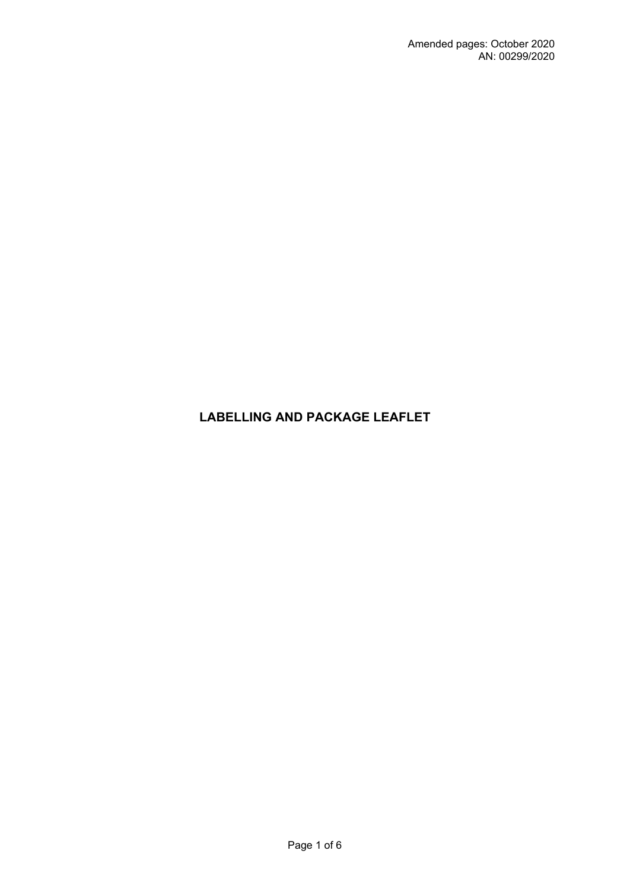# **LABELLING AND PACKAGE LEAFLET**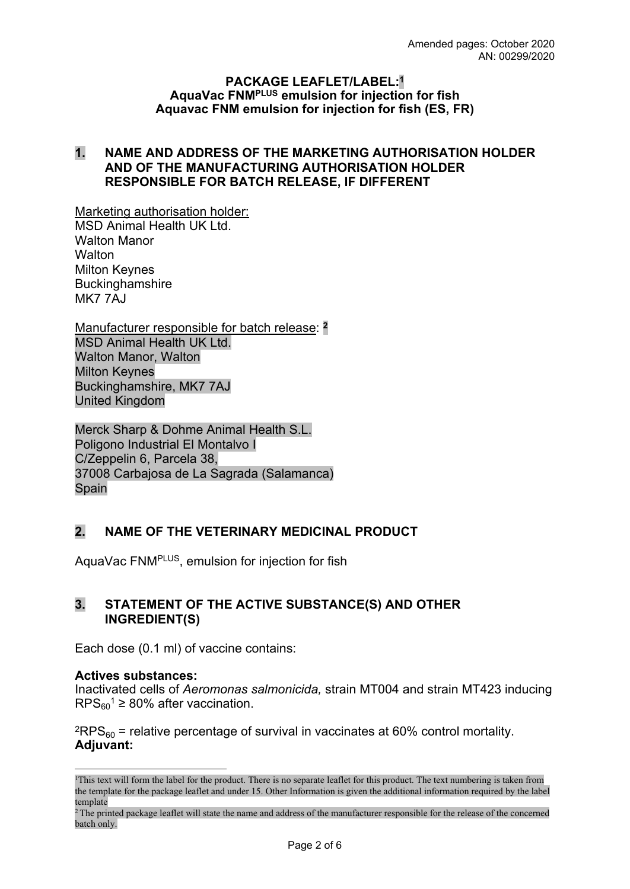#### **PACKAGE LEAFLET/LABEL:<sup>1</sup> AquaVac FNMPLUS emulsion for injection for fish Aquavac FNM emulsion for injection for fish (ES, FR)**

### **1. NAME AND ADDRESS OF THE MARKETING AUTHORISATION HOLDER AND OF THE MANUFACTURING AUTHORISATION HOLDER RESPONSIBLE FOR BATCH RELEASE, IF DIFFERENT**

Marketing authorisation holder: MSD Animal Health UK Ltd. Walton Manor **Walton** Milton Keynes **Buckinghamshire MK7 7AJ** 

Manufacturer responsible for batch release: **<sup>2</sup>** MSD Animal Health UK Ltd. Walton Manor, Walton Milton Keynes Buckinghamshire, MK7 7AJ United Kingdom

Merck Sharp & Dohme Animal Health S.L. Poligono Industrial El Montalvo I C/Zeppelin 6, Parcela 38, 37008 Carbajosa de La Sagrada (Salamanca) Spain

# **2. NAME OF THE VETERINARY MEDICINAL PRODUCT**

AquaVac FNMPLUS, emulsion for injection for fish

### **3. STATEMENT OF THE ACTIVE SUBSTANCE(S) AND OTHER INGREDIENT(S)**

Each dose (0.1 ml) of vaccine contains:

### **Actives substances:**

Inactivated cells of *Aeromonas salmonicida,* strain MT004 and strain MT423 inducing  $RPS<sub>60</sub><sup>1</sup> \geq 80\%$  after vaccination.

 $^{2}$ RPS<sub>60</sub> = relative percentage of survival in vaccinates at 60% control mortality. **Adjuvant:**

<sup>1</sup>This text will form the label for the product. There is no separate leaflet for this product. The text numbering is taken from the template for the package leaflet and under 15. Other Information is given the additional information required by the label template

<sup>&</sup>lt;sup>2</sup>The printed package leaflet will state the name and address of the manufacturer responsible for the release of the concerned batch only.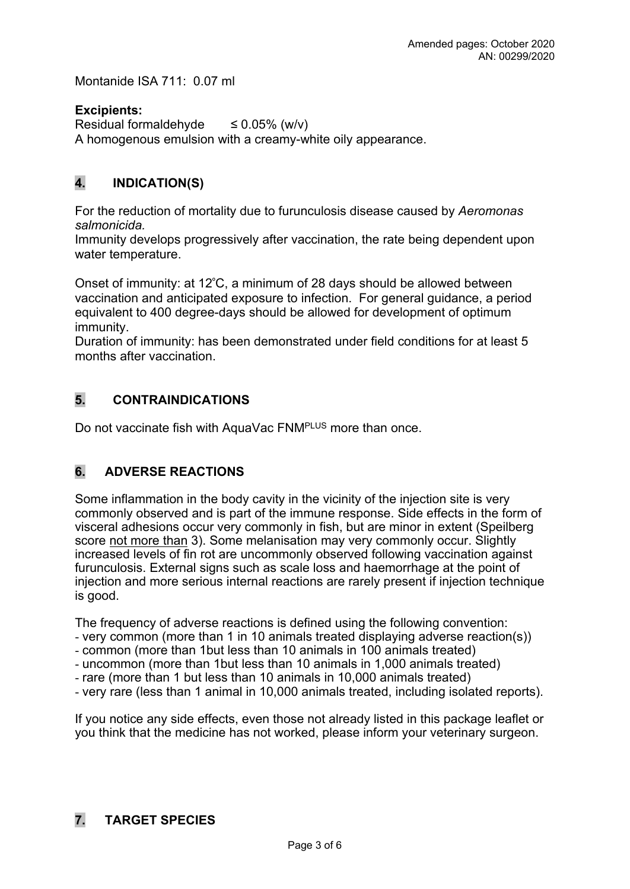Montanide ISA 711: 0.07 ml

### **Excipients:**

Residual formaldehyde  $\leq 0.05\%$  (w/v) A homogenous emulsion with a creamy-white oily appearance.

# **4. INDICATION(S)**

For the reduction of mortality due to furunculosis disease caused by *Aeromonas salmonicida.*

Immunity develops progressively after vaccination, the rate being dependent upon water temperature.

Onset of immunity: at 12<sup>º</sup>C, a minimum of 28 days should be allowed between vaccination and anticipated exposure to infection. For general guidance, a period equivalent to 400 degree-days should be allowed for development of optimum immunity.

Duration of immunity: has been demonstrated under field conditions for at least 5 months after vaccination.

# **5. CONTRAINDICATIONS**

Do not vaccinate fish with AquaVac FNM<sup>PLUS</sup> more than once.

# **6. ADVERSE REACTIONS**

Some inflammation in the body cavity in the vicinity of the injection site is very commonly observed and is part of the immune response. Side effects in the form of visceral adhesions occur very commonly in fish, but are minor in extent (Speilberg score not more than 3). Some melanisation may very commonly occur. Slightly increased levels of fin rot are uncommonly observed following vaccination against furunculosis. External signs such as scale loss and haemorrhage at the point of injection and more serious internal reactions are rarely present if injection technique is good.

The frequency of adverse reactions is defined using the following convention:

- very common (more than 1 in 10 animals treated displaying adverse reaction(s))
- common (more than 1but less than 10 animals in 100 animals treated)
- uncommon (more than 1but less than 10 animals in 1,000 animals treated)
- rare (more than 1 but less than 10 animals in 10,000 animals treated)
- very rare (less than 1 animal in 10,000 animals treated, including isolated reports).

If you notice any side effects, even those not already listed in this package leaflet or you think that the medicine has not worked, please inform your veterinary surgeon.

# **7. TARGET SPECIES**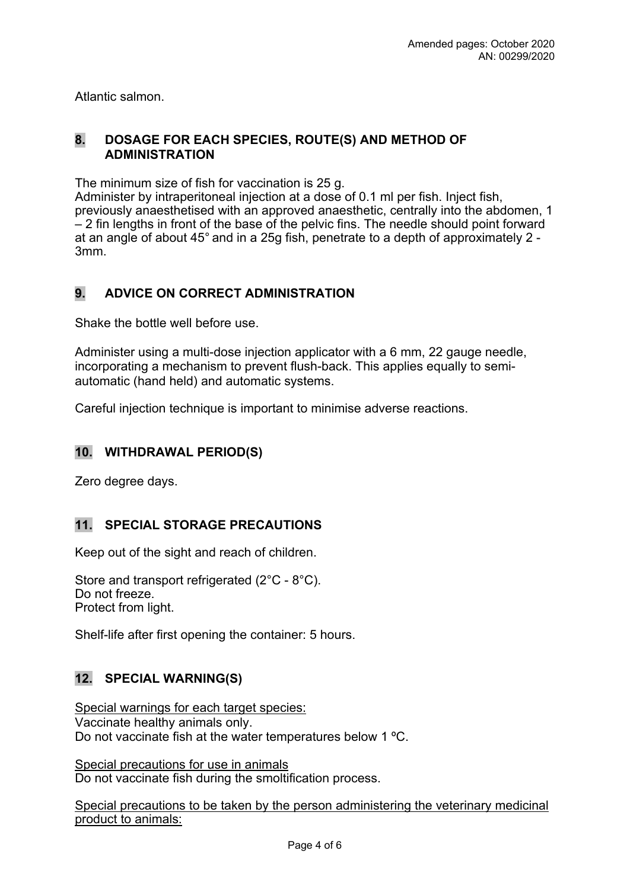Atlantic salmon.

#### **8. DOSAGE FOR EACH SPECIES, ROUTE(S) AND METHOD OF ADMINISTRATION**

The minimum size of fish for vaccination is 25 g.

Administer by intraperitoneal injection at a dose of 0.1 ml per fish. Inject fish, previously anaesthetised with an approved anaesthetic, centrally into the abdomen, 1 – 2 fin lengths in front of the base of the pelvic fins. The needle should point forward at an angle of about 45° and in a 25g fish, penetrate to a depth of approximately 2 - 3mm.

# **9. ADVICE ON CORRECT ADMINISTRATION**

Shake the bottle well before use.

Administer using a multi-dose injection applicator with a 6 mm, 22 gauge needle, incorporating a mechanism to prevent flush-back. This applies equally to semiautomatic (hand held) and automatic systems.

Careful injection technique is important to minimise adverse reactions.

# **10. WITHDRAWAL PERIOD(S)**

Zero degree days.

# **11. SPECIAL STORAGE PRECAUTIONS**

Keep out of the sight and reach of children.

Store and transport refrigerated (2°C - 8°C). Do not freeze. Protect from light.

Shelf-life after first opening the container: 5 hours.

# **12. SPECIAL WARNING(S)**

Special warnings for each target species: Vaccinate healthy animals only. Do not vaccinate fish at the water temperatures below 1 ºC.

Special precautions for use in animals Do not vaccinate fish during the smoltification process.

Special precautions to be taken by the person administering the veterinary medicinal product to animals: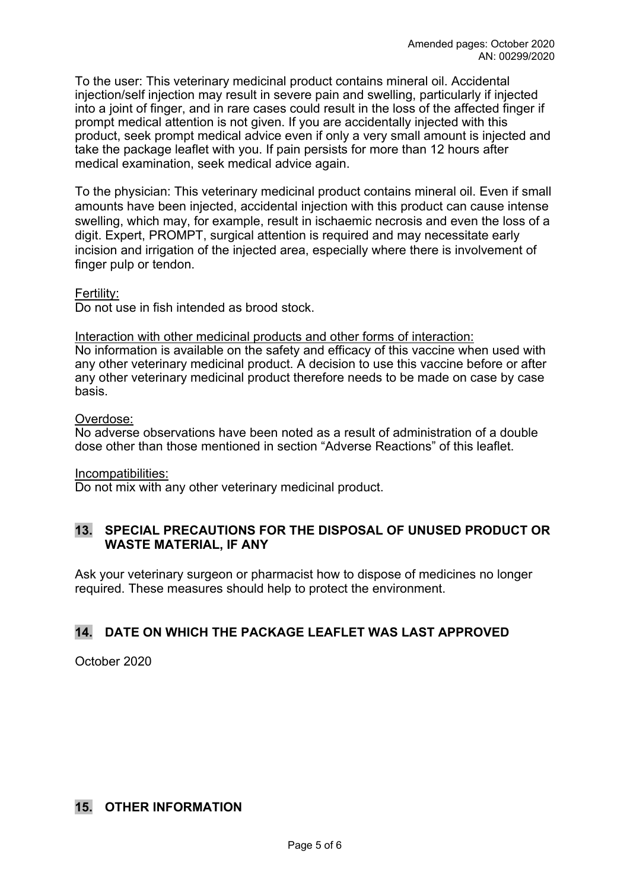To the user: This veterinary medicinal product contains mineral oil. Accidental injection/self injection may result in severe pain and swelling, particularly if injected into a joint of finger, and in rare cases could result in the loss of the affected finger if prompt medical attention is not given. If you are accidentally injected with this product, seek prompt medical advice even if only a very small amount is injected and take the package leaflet with you. If pain persists for more than 12 hours after medical examination, seek medical advice again.

To the physician: This veterinary medicinal product contains mineral oil. Even if small amounts have been injected, accidental injection with this product can cause intense swelling, which may, for example, result in ischaemic necrosis and even the loss of a digit. Expert, PROMPT, surgical attention is required and may necessitate early incision and irrigation of the injected area, especially where there is involvement of finger pulp or tendon.

#### Fertility:

Do not use in fish intended as brood stock.

#### Interaction with other medicinal products and other forms of interaction:

No information is available on the safety and efficacy of this vaccine when used with any other veterinary medicinal product. A decision to use this vaccine before or after any other veterinary medicinal product therefore needs to be made on case by case basis.

#### Overdose:

No adverse observations have been noted as a result of administration of a double dose other than those mentioned in section "Adverse Reactions" of this leaflet.

#### Incompatibilities:

Do not mix with any other veterinary medicinal product.

### **13. SPECIAL PRECAUTIONS FOR THE DISPOSAL OF UNUSED PRODUCT OR WASTE MATERIAL, IF ANY**

Ask your veterinary surgeon or pharmacist how to dispose of medicines no longer required. These measures should help to protect the environment.

# **14. DATE ON WHICH THE PACKAGE LEAFLET WAS LAST APPROVED**

October 2020

### **15. OTHER INFORMATION**